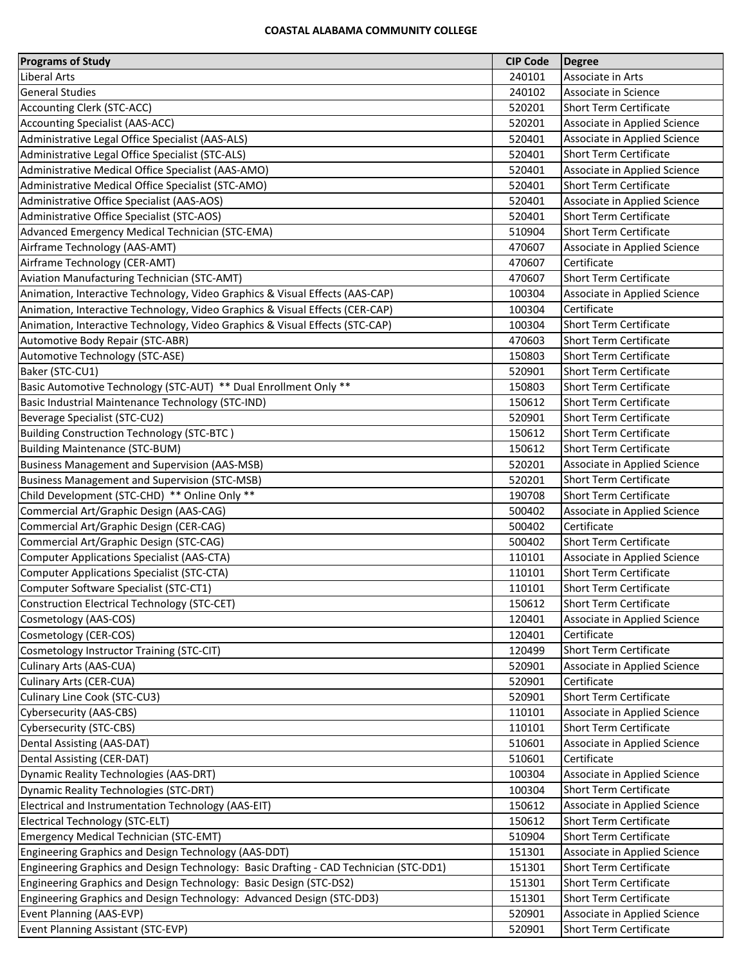## **COASTAL ALABAMA COMMUNITY COLLEGE**

| <b>Programs of Study</b>                                                              | <b>CIP Code</b> | Degree                        |
|---------------------------------------------------------------------------------------|-----------------|-------------------------------|
| Liberal Arts                                                                          | 240101          | Associate in Arts             |
| <b>General Studies</b>                                                                | 240102          | Associate in Science          |
| Accounting Clerk (STC-ACC)                                                            | 520201          | <b>Short Term Certificate</b> |
| <b>Accounting Specialist (AAS-ACC)</b>                                                | 520201          | Associate in Applied Science  |
| Administrative Legal Office Specialist (AAS-ALS)                                      | 520401          | Associate in Applied Science  |
| Administrative Legal Office Specialist (STC-ALS)                                      | 520401          | <b>Short Term Certificate</b> |
| Administrative Medical Office Specialist (AAS-AMO)                                    | 520401          | Associate in Applied Science  |
| Administrative Medical Office Specialist (STC-AMO)                                    | 520401          | <b>Short Term Certificate</b> |
| Administrative Office Specialist (AAS-AOS)                                            | 520401          | Associate in Applied Science  |
| Administrative Office Specialist (STC-AOS)                                            | 520401          | <b>Short Term Certificate</b> |
| Advanced Emergency Medical Technician (STC-EMA)                                       | 510904          | <b>Short Term Certificate</b> |
| Airframe Technology (AAS-AMT)                                                         | 470607          | Associate in Applied Science  |
| Airframe Technology (CER-AMT)                                                         | 470607          | Certificate                   |
| Aviation Manufacturing Technician (STC-AMT)                                           | 470607          | <b>Short Term Certificate</b> |
| Animation, Interactive Technology, Video Graphics & Visual Effects (AAS-CAP)          | 100304          | Associate in Applied Science  |
| Animation, Interactive Technology, Video Graphics & Visual Effects (CER-CAP)          | 100304          | Certificate                   |
| Animation, Interactive Technology, Video Graphics & Visual Effects (STC-CAP)          | 100304          | <b>Short Term Certificate</b> |
| Automotive Body Repair (STC-ABR)                                                      | 470603          | <b>Short Term Certificate</b> |
| Automotive Technology (STC-ASE)                                                       | 150803          | <b>Short Term Certificate</b> |
| Baker (STC-CU1)                                                                       | 520901          | <b>Short Term Certificate</b> |
| Basic Automotive Technology (STC-AUT) ** Dual Enrollment Only **                      | 150803          | <b>Short Term Certificate</b> |
| Basic Industrial Maintenance Technology (STC-IND)                                     | 150612          | <b>Short Term Certificate</b> |
| Beverage Specialist (STC-CU2)                                                         | 520901          | <b>Short Term Certificate</b> |
| <b>Building Construction Technology (STC-BTC)</b>                                     | 150612          | <b>Short Term Certificate</b> |
| <b>Building Maintenance (STC-BUM)</b>                                                 | 150612          | <b>Short Term Certificate</b> |
| <b>Business Management and Supervision (AAS-MSB)</b>                                  | 520201          | Associate in Applied Science  |
| <b>Business Management and Supervision (STC-MSB)</b>                                  | 520201          | <b>Short Term Certificate</b> |
| Child Development (STC-CHD) ** Online Only **                                         | 190708          | <b>Short Term Certificate</b> |
| Commercial Art/Graphic Design (AAS-CAG)                                               | 500402          | Associate in Applied Science  |
| Commercial Art/Graphic Design (CER-CAG)                                               | 500402          | Certificate                   |
| Commercial Art/Graphic Design (STC-CAG)                                               | 500402          | <b>Short Term Certificate</b> |
| <b>Computer Applications Specialist (AAS-CTA)</b>                                     | 110101          | Associate in Applied Science  |
| <b>Computer Applications Specialist (STC-CTA)</b>                                     | 110101          | <b>Short Term Certificate</b> |
| Computer Software Specialist (STC-CT1)                                                | 110101          | <b>Short Term Certificate</b> |
| <b>Construction Electrical Technology (STC-CET)</b>                                   | 150612          | <b>Short Term Certificate</b> |
| Cosmetology (AAS-COS)                                                                 | 120401          | Associate in Applied Science  |
| Cosmetology (CER-COS)                                                                 | 120401          | Certificate                   |
| Cosmetology Instructor Training (STC-CIT)                                             | 120499          | <b>Short Term Certificate</b> |
| Culinary Arts (AAS-CUA)                                                               | 520901          | Associate in Applied Science  |
| Culinary Arts (CER-CUA)                                                               | 520901          | Certificate                   |
| Culinary Line Cook (STC-CU3)                                                          | 520901          | <b>Short Term Certificate</b> |
| <b>Cybersecurity (AAS-CBS)</b>                                                        | 110101          | Associate in Applied Science  |
| Cybersecurity (STC-CBS)                                                               | 110101          | <b>Short Term Certificate</b> |
| Dental Assisting (AAS-DAT)                                                            | 510601          | Associate in Applied Science  |
| Dental Assisting (CER-DAT)                                                            | 510601          | Certificate                   |
| Dynamic Reality Technologies (AAS-DRT)                                                | 100304          | Associate in Applied Science  |
| Dynamic Reality Technologies (STC-DRT)                                                | 100304          | <b>Short Term Certificate</b> |
| Electrical and Instrumentation Technology (AAS-EIT)                                   | 150612          | Associate in Applied Science  |
| Electrical Technology (STC-ELT)                                                       | 150612          | <b>Short Term Certificate</b> |
| <b>Emergency Medical Technician (STC-EMT)</b>                                         | 510904          | <b>Short Term Certificate</b> |
| Engineering Graphics and Design Technology (AAS-DDT)                                  | 151301          | Associate in Applied Science  |
| Engineering Graphics and Design Technology: Basic Drafting - CAD Technician (STC-DD1) | 151301          | <b>Short Term Certificate</b> |
| Engineering Graphics and Design Technology: Basic Design (STC-DS2)                    | 151301          | <b>Short Term Certificate</b> |
| Engineering Graphics and Design Technology: Advanced Design (STC-DD3)                 | 151301          | <b>Short Term Certificate</b> |
| Event Planning (AAS-EVP)                                                              | 520901          | Associate in Applied Science  |
| Event Planning Assistant (STC-EVP)                                                    | 520901          | <b>Short Term Certificate</b> |